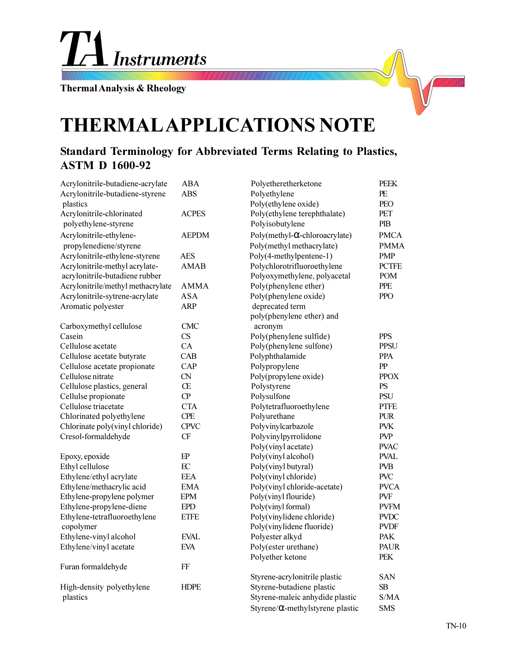

**Thermal Analysis & Rheology**

## **THERMAL APPLICATIONS NOTE**

## **Standard Terminology for Abbreviated Terms Relating to Plastics, ASTM D 1600-92**

| Acrylonitrile-butadiene-acrylate  | <b>ABA</b>   | Polyetheretherketone                     | <b>PEEK</b>  |
|-----------------------------------|--------------|------------------------------------------|--------------|
| Acrylonitrile-butadiene-styrene   | <b>ABS</b>   | Polyethylene                             | PE           |
| plastics                          |              | Poly(ethylene oxide)                     | PEO          |
| Acrylonitrile-chlorinated         | <b>ACPES</b> | Poly(ethylene terephthalate)             | PET          |
| polyethylene-styrene              |              | Polyisobutylene                          | PIB          |
| Acrylonitrile-ethylene-           | <b>AEPDM</b> | Poly(methyl- $\alpha$ -chloroacrylate)   | <b>PMCA</b>  |
| propylenediene/styrene            |              | Poly(methyl methacrylate)                | <b>PMMA</b>  |
| Acrylonitrile-ethylene-styrene    | <b>AES</b>   | Poly(4-methylpentene-1)                  | <b>PMP</b>   |
| Acrylonitrile-methyl acrylate-    | <b>AMAB</b>  | Polychlorotrifluoroethylene              | <b>PCTFE</b> |
| acrylonitrile-butadiene rubber    |              | Polyoxymethylene, polyacetal             | <b>POM</b>   |
| Acrylonitrile/methyl methacrylate | <b>AMMA</b>  | Poly(phenylene ether)                    | <b>PPE</b>   |
| Acrylonitrile-sytrene-acrylate    | ASA          | Poly(phenylene oxide)                    | <b>PPO</b>   |
| Aromatic polyester                | <b>ARP</b>   | deprecated term                          |              |
|                                   |              | poly(phenylene ether) and                |              |
| Carboxymethyl cellulose           | <b>CMC</b>   | acronym                                  |              |
| Casein                            | CS           | Poly(phenylene sulfide)                  | <b>PPS</b>   |
| Cellulose acetate                 | CA           | Poly(phenylene sulfone)                  | <b>PPSU</b>  |
| Cellulose acetate butyrate        | CAB          | Polyphthalamide                          | <b>PPA</b>   |
| Cellulose acetate propionate      | CAP          | Polypropylene                            | PP           |
| Cellulose nitrate                 | ${\rm CN}$   | Poly(propylene oxide)                    | <b>PPOX</b>  |
| Cellulose plastics, general       | Œ            | Polystyrene                              | PS           |
| Cellulse propionate               | CP           | Polysulfone                              | <b>PSU</b>   |
| Cellulose triacetate              | <b>CTA</b>   | Polytetrafluoroethylene                  | <b>PTFE</b>  |
| Chlorinated polyethylene          | <b>CPE</b>   | Polyurethane                             | <b>PUR</b>   |
| Chlorinate poly(vinyl chloride)   | <b>CPVC</b>  | Polyvinylcarbazole                       | <b>PVK</b>   |
| Cresol-formaldehyde               | CF           | Polyvinylpyrrolidone                     | <b>PVP</b>   |
|                                   |              | Poly(vinyl acetate)                      | <b>PVAC</b>  |
| Epoxy, epoxide                    | $E$ P        | Poly(vinyl alcohol)                      | <b>PVAL</b>  |
| Ethyl cellulose                   | EC           | Poly(vinyl butyral)                      | <b>PVB</b>   |
| Ethylene/ethyl acrylate           | <b>EEA</b>   | Poly(vinyl chloride)                     | <b>PVC</b>   |
| Ethylene/methacrylic acid         | <b>EMA</b>   | Poly(vinyl chloride-acetate)             | <b>PVCA</b>  |
| Ethylene-propylene polymer        | <b>EPM</b>   | Poly(vinyl flouride)                     | <b>PVF</b>   |
| Ethylene-propylene-diene          | <b>EPD</b>   | Poly(vinyl formal)                       | <b>PVFM</b>  |
| Ethylene-tetrafluoroethylene      | <b>ETFE</b>  | Poly(vinylidene chloride)                | <b>PVDC</b>  |
| copolymer                         |              | Poly(vinylidene fluoride)                | <b>PVDF</b>  |
| Ethylene-vinyl alcohol            | <b>EVAL</b>  | Polyester alkyd                          | PAK          |
| Ethylene/vinyl acetate            | <b>EVA</b>   | Poly(ester urethane)                     | <b>PAUR</b>  |
|                                   |              | Polyether ketone                         | PEK          |
| Furan formaldehyde                | FF           |                                          |              |
|                                   |              | Styrene-acrylonitrile plastic            | <b>SAN</b>   |
| High-density polyethylene         | <b>HDPE</b>  | Styrene-butadiene plastic                | SB           |
| plastics                          |              | Styrene-maleic anhydide plastic          | S/MA         |
|                                   |              | Styrene/ $\alpha$ -methylstyrene plastic | <b>SMS</b>   |